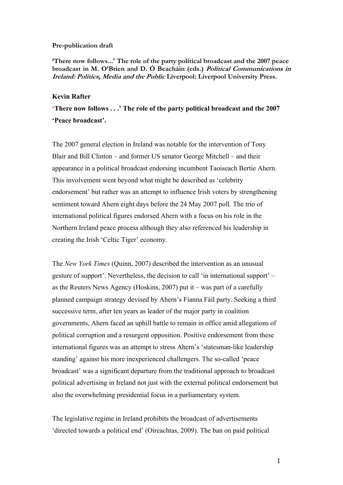#### **Pre-publication draft**

**'There now follows...' The role of the party political broadcast and the 2007 peace broadcast in M. O'Brien and D. Ó Beacháin (eds.) Political Communications in Ireland: Politics, Media and the Public Liverpool: Liverpool University Press.**

#### **Kevin Rafter**

**'There now follows . . .' The role of the party political broadcast and the 2007 'Peace broadcast'.**

The 2007 general election in Ireland was notable for the intervention of Tony Blair and Bill Clinton – and former US senator George Mitchell – and their appearance in a political broadcast endorsing incumbent Taoiseach Bertie Ahern. This involvement went beyond what might be described as 'celebrity endorsement' but rather was an attempt to influence Irish voters by strengthening sentiment toward Ahern eight days before the 24 May 2007 poll. The trio of international political figures endorsed Ahern with a focus on his role in the Northern Ireland peace process although they also referenced his leadership in creating the Irish 'Celtic Tiger' economy.

The *New York Times* (Quinn, 2007) described the intervention as an unusual gesture of support'. Nevertheless, the decision to call 'in international support' – as the Reuters News Agency (Hoskins, 2007) put it – was part of a carefully planned campaign strategy devised by Ahern's Fianna Fáil party. Seeking a third successive term, after ten years as leader of the major party in coalition governments, Ahern faced an uphill battle to remain in office amid allegations of political corruption and a resurgent opposition. Positive endorsement from these international figures was an attempt to stress Ahern's 'statesman-like leadership standing' against his more inexperienced challengers. The so-called 'peace broadcast' was a significant departure from the traditional approach to broadcast political advertising in Ireland not just with the external political endorsement but also the overwhelming presidential focus in a parliamentary system.

The legislative regime in Ireland prohibits the broadcast of advertisements 'directed towards a political end' (Oireachtas, 2009). The ban on paid political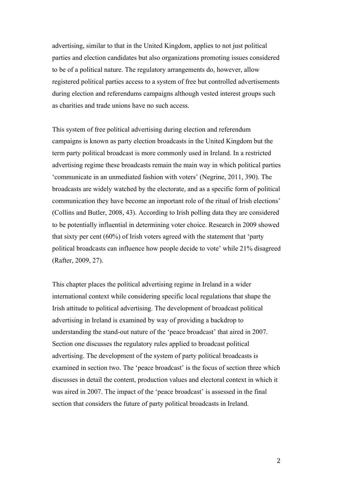advertising, similar to that in the United Kingdom, applies to not just political parties and election candidates but also organizations promoting issues considered to be of a political nature. The regulatory arrangements do, however, allow registered political parties access to a system of free but controlled advertisements during election and referendums campaigns although vested interest groups such as charities and trade unions have no such access.

This system of free political advertising during election and referendum campaigns is known as party election broadcasts in the United Kingdom but the term party political broadcast is more commonly used in Ireland. In a restricted advertising regime these broadcasts remain the main way in which political parties 'communicate in an unmediated fashion with voters' (Negrine, 2011, 390). The broadcasts are widely watched by the electorate, and as a specific form of political communication they have become an important role of the ritual of Irish elections' (Collins and Butler, 2008, 43). According to Irish polling data they are considered to be potentially influential in determining voter choice. Research in 2009 showed that sixty per cent (60%) of Irish voters agreed with the statement that 'party political broadcasts can influence how people decide to vote' while 21% disagreed (Rafter, 2009, 27).

This chapter places the political advertising regime in Ireland in a wider international context while considering specific local regulations that shape the Irish attitude to political advertising. The development of broadcast political advertising in Ireland is examined by way of providing a backdrop to understanding the stand-out nature of the 'peace broadcast' that aired in 2007. Section one discusses the regulatory rules applied to broadcast political advertising. The development of the system of party political broadcasts is examined in section two. The 'peace broadcast' is the focus of section three which discusses in detail the content, production values and electoral context in which it was aired in 2007. The impact of the 'peace broadcast' is assessed in the final section that considers the future of party political broadcasts in Ireland.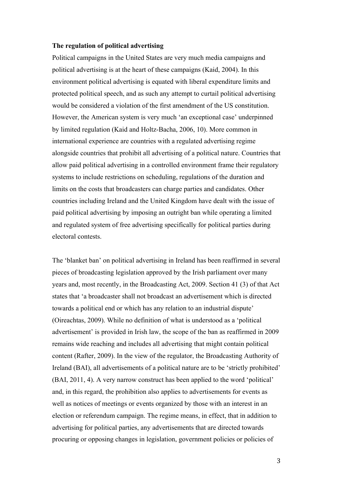## **The regulation of political advertising**

Political campaigns in the United States are very much media campaigns and political advertising is at the heart of these campaigns (Kaid, 2004). In this environment political advertising is equated with liberal expenditure limits and protected political speech, and as such any attempt to curtail political advertising would be considered a violation of the first amendment of the US constitution. However, the American system is very much 'an exceptional case' underpinned by limited regulation (Kaid and Holtz-Bacha, 2006, 10). More common in international experience are countries with a regulated advertising regime alongside countries that prohibit all advertising of a political nature. Countries that allow paid political advertising in a controlled environment frame their regulatory systems to include restrictions on scheduling, regulations of the duration and limits on the costs that broadcasters can charge parties and candidates. Other countries including Ireland and the United Kingdom have dealt with the issue of paid political advertising by imposing an outright ban while operating a limited and regulated system of free advertising specifically for political parties during electoral contests.

The 'blanket ban' on political advertising in Ireland has been reaffirmed in several pieces of broadcasting legislation approved by the Irish parliament over many years and, most recently, in the Broadcasting Act, 2009. Section 41 (3) of that Act states that 'a broadcaster shall not broadcast an advertisement which is directed towards a political end or which has any relation to an industrial dispute' (Oireachtas, 2009). While no definition of what is understood as a 'political advertisement' is provided in Irish law, the scope of the ban as reaffirmed in 2009 remains wide reaching and includes all advertising that might contain political content (Rafter, 2009). In the view of the regulator, the Broadcasting Authority of Ireland (BAI), all advertisements of a political nature are to be 'strictly prohibited' (BAI, 2011, 4). A very narrow construct has been applied to the word 'political' and, in this regard, the prohibition also applies to advertisements for events as well as notices of meetings or events organized by those with an interest in an election or referendum campaign. The regime means, in effect, that in addition to advertising for political parties, any advertisements that are directed towards procuring or opposing changes in legislation, government policies or policies of

3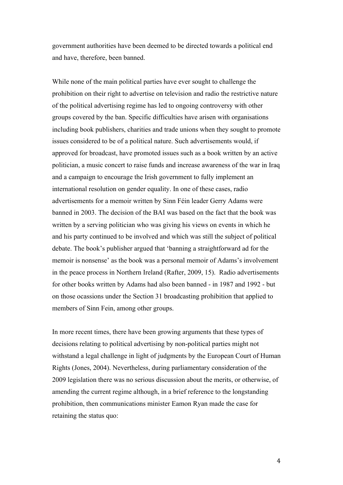government authorities have been deemed to be directed towards a political end and have, therefore, been banned.

While none of the main political parties have ever sought to challenge the prohibition on their right to advertise on television and radio the restrictive nature of the political advertising regime has led to ongoing controversy with other groups covered by the ban. Specific difficulties have arisen with organisations including book publishers, charities and trade unions when they sought to promote issues considered to be of a political nature. Such advertisements would, if approved for broadcast, have promoted issues such as a book written by an active politician, a music concert to raise funds and increase awareness of the war in Iraq and a campaign to encourage the Irish government to fully implement an international resolution on gender equality. In one of these cases, radio advertisements for a memoir written by Sinn Féin leader Gerry Adams were banned in 2003. The decision of the BAI was based on the fact that the book was written by a serving politician who was giving his views on events in which he and his party continued to be involved and which was still the subject of political debate. The book's publisher argued that 'banning a straightforward ad for the memoir is nonsense' as the book was a personal memoir of Adams's involvement in the peace process in Northern Ireland (Rafter, 2009, 15). Radio advertisements for other books written by Adams had also been banned - in 1987 and 1992 - but on those ocassions under the Section 31 broadcasting prohibition that applied to members of Sinn Fein, among other groups.

In more recent times, there have been growing arguments that these types of decisions relating to political advertising by non-political parties might not withstand a legal challenge in light of judgments by the European Court of Human Rights (Jones, 2004). Nevertheless, during parliamentary consideration of the 2009 legislation there was no serious discussion about the merits, or otherwise, of amending the current regime although, in a brief reference to the longstanding prohibition, then communications minister Eamon Ryan made the case for retaining the status quo: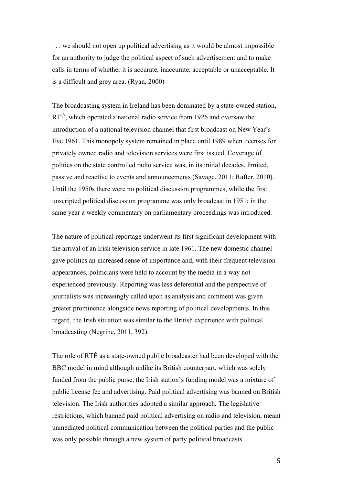. . . we should not open up political advertising as it would be almost impossible for an authority to judge the political aspect of such advertisement and to make calls in terms of whether it is accurate, inaccurate, acceptable or unacceptable. It is a difficult and grey area. (Ryan, 2000)

The broadcasting system in Ireland has been dominated by a state-owned station, RTÉ, which operated a national radio service from 1926 and oversaw the introduction of a national television channel that first broadcast on New Year's Eve 1961. This monopoly system remained in place until 1989 when licenses for privately owned radio and television services were first issued. Coverage of politics on the state controlled radio service was, in its initial decades, limited, passive and reactive to events and announcements (Savage, 2011; Rafter, 2010). Until the 1950s there were no political discussion programmes, while the first unscripted political discussion programme was only broadcast in 1951; in the same year a weekly commentary on parliamentary proceedings was introduced.

The nature of political reportage underwent its first significant development with the arrival of an Irish television service in late 1961. The new domestic channel gave politics an increased sense of importance and, with their frequent television appearances, politicians were held to account by the media in a way not experienced previously. Reporting was less deferential and the perspective of journalists was increasingly called upon as analysis and comment was given greater prominence alongside news reporting of political developments. In this regard, the Irish situation was similar to the British experience with political broadcasting (Negrine, 2011, 392).

The role of RTÉ as a state-owned public broadcaster had been developed with the BBC model in mind although unlike its British counterpart, which was solely funded from the public purse, the Irish station's funding model was a mixture of public license fee and advertising. Paid political advertising was banned on British television. The Irish authorities adopted a similar approach. The legislative restrictions, which banned paid political advertising on radio and television, meant unmediated political communication between the political parties and the public was only possible through a new system of party political broadcasts.

5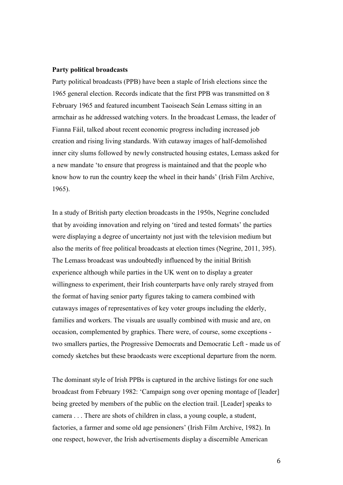#### **Party political broadcasts**

Party political broadcasts (PPB) have been a staple of Irish elections since the 1965 general election. Records indicate that the first PPB was transmitted on 8 February 1965 and featured incumbent Taoiseach Seán Lemass sitting in an armchair as he addressed watching voters. In the broadcast Lemass, the leader of Fianna Fáil, talked about recent economic progress including increased job creation and rising living standards. With cutaway images of half-demolished inner city slums followed by newly constructed housing estates, Lemass asked for a new mandate 'to ensure that progress is maintained and that the people who know how to run the country keep the wheel in their hands' (Irish Film Archive, 1965).

In a study of British party election broadcasts in the 1950s, Negrine concluded that by avoiding innovation and relying on 'tired and tested formats' the parties were displaying a degree of uncertainty not just with the television medium but also the merits of free political broadcasts at election times (Negrine, 2011, 395). The Lemass broadcast was undoubtedly influenced by the initial British experience although while parties in the UK went on to display a greater willingness to experiment, their Irish counterparts have only rarely strayed from the format of having senior party figures taking to camera combined with cutaways images of representatives of key voter groups including the elderly, families and workers. The visuals are usually combined with music and are, on occasion, complemented by graphics. There were, of course, some exceptions two smallers parties, the Progressive Democrats and Democratic Left - made us of comedy sketches but these braodcasts were exceptional departure from the norm.

The dominant style of Irish PPBs is captured in the archive listings for one such broadcast from February 1982: 'Campaign song over opening montage of [leader] being greeted by members of the public on the election trail. [Leader] speaks to camera . . . There are shots of children in class, a young couple, a student, factories, a farmer and some old age pensioners' (Irish Film Archive, 1982). In one respect, however, the Irish advertisements display a discernible American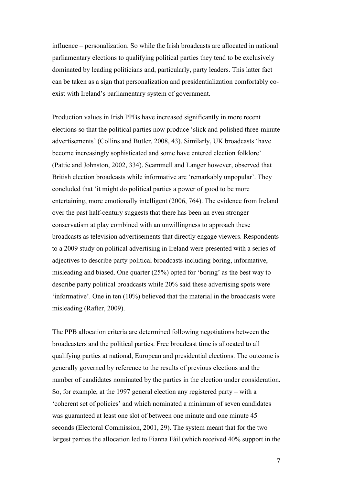influence – personalization. So while the Irish broadcasts are allocated in national parliamentary elections to qualifying political parties they tend to be exclusively dominated by leading politicians and, particularly, party leaders. This latter fact can be taken as a sign that personalization and presidentialization comfortably coexist with Ireland's parliamentary system of government.

Production values in Irish PPBs have increased significantly in more recent elections so that the political parties now produce 'slick and polished three-minute advertisements' (Collins and Butler, 2008, 43). Similarly, UK broadcasts 'have become increasingly sophisticated and some have entered election folklore' (Pattie and Johnston, 2002, 334). Scammell and Langer however, observed that British election broadcasts while informative are 'remarkably unpopular'. They concluded that 'it might do political parties a power of good to be more entertaining, more emotionally intelligent (2006, 764). The evidence from Ireland over the past half-century suggests that there has been an even stronger conservatism at play combined with an unwillingness to approach these broadcasts as television advertisements that directly engage viewers. Respondents to a 2009 study on political advertising in Ireland were presented with a series of adjectives to describe party political broadcasts including boring, informative, misleading and biased. One quarter (25%) opted for 'boring' as the best way to describe party political broadcasts while 20% said these advertising spots were 'informative'. One in ten (10%) believed that the material in the broadcasts were misleading (Rafter, 2009).

The PPB allocation criteria are determined following negotiations between the broadcasters and the political parties. Free broadcast time is allocated to all qualifying parties at national, European and presidential elections. The outcome is generally governed by reference to the results of previous elections and the number of candidates nominated by the parties in the election under consideration. So, for example, at the 1997 general election any registered party – with a 'coherent set of policies' and which nominated a minimum of seven candidates was guaranteed at least one slot of between one minute and one minute 45 seconds (Electoral Commission, 2001, 29). The system meant that for the two largest parties the allocation led to Fianna Fáil (which received 40% support in the

7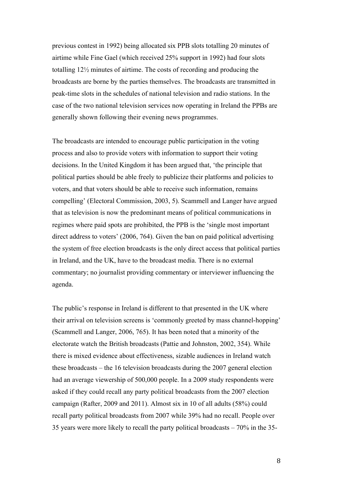previous contest in 1992) being allocated six PPB slots totalling 20 minutes of airtime while Fine Gael (which received 25% support in 1992) had four slots totalling 12½ minutes of airtime. The costs of recording and producing the broadcasts are borne by the parties themselves. The broadcasts are transmitted in peak-time slots in the schedules of national television and radio stations. In the case of the two national television services now operating in Ireland the PPBs are generally shown following their evening news programmes.

The broadcasts are intended to encourage public participation in the voting process and also to provide voters with information to support their voting decisions. In the United Kingdom it has been argued that, 'the principle that political parties should be able freely to publicize their platforms and policies to voters, and that voters should be able to receive such information, remains compelling' (Electoral Commission, 2003, 5). Scammell and Langer have argued that as television is now the predominant means of political communications in regimes where paid spots are prohibited, the PPB is the 'single most important direct address to voters' (2006, 764). Given the ban on paid political advertising the system of free election broadcasts is the only direct access that political parties in Ireland, and the UK, have to the broadcast media. There is no external commentary; no journalist providing commentary or interviewer influencing the agenda.

The public's response in Ireland is different to that presented in the UK where their arrival on television screens is 'commonly greeted by mass channel-hopping' (Scammell and Langer, 2006, 765). It has been noted that a minority of the electorate watch the British broadcasts (Pattie and Johnston, 2002, 354). While there is mixed evidence about effectiveness, sizable audiences in Ireland watch these broadcasts – the 16 television broadcasts during the 2007 general election had an average viewership of 500,000 people. In a 2009 study respondents were asked if they could recall any party political broadcasts from the 2007 election campaign (Rafter, 2009 and 2011). Almost six in 10 of all adults (58%) could recall party political broadcasts from 2007 while 39% had no recall. People over 35 years were more likely to recall the party political broadcasts – 70% in the 35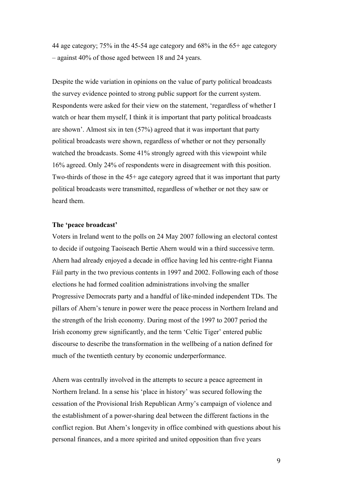44 age category; 75% in the 45-54 age category and 68% in the 65+ age category – against 40% of those aged between 18 and 24 years.

Despite the wide variation in opinions on the value of party political broadcasts the survey evidence pointed to strong public support for the current system. Respondents were asked for their view on the statement, 'regardless of whether I watch or hear them myself, I think it is important that party political broadcasts are shown'. Almost six in ten (57%) agreed that it was important that party political broadcasts were shown, regardless of whether or not they personally watched the broadcasts. Some 41% strongly agreed with this viewpoint while 16% agreed. Only 24% of respondents were in disagreement with this position. Two-thirds of those in the 45+ age category agreed that it was important that party political broadcasts were transmitted, regardless of whether or not they saw or heard them.

### **The 'peace broadcast'**

Voters in Ireland went to the polls on 24 May 2007 following an electoral contest to decide if outgoing Taoiseach Bertie Ahern would win a third successive term. Ahern had already enjoyed a decade in office having led his centre-right Fianna Fáil party in the two previous contents in 1997 and 2002. Following each of those elections he had formed coalition administrations involving the smaller Progressive Democrats party and a handful of like-minded independent TDs. The pillars of Ahern's tenure in power were the peace process in Northern Ireland and the strength of the Irish economy. During most of the 1997 to 2007 period the Irish economy grew significantly, and the term 'Celtic Tiger' entered public discourse to describe the transformation in the wellbeing of a nation defined for much of the twentieth century by economic underperformance.

Ahern was centrally involved in the attempts to secure a peace agreement in Northern Ireland. In a sense his 'place in history' was secured following the cessation of the Provisional Irish Republican Army's campaign of violence and the establishment of a power-sharing deal between the different factions in the conflict region. But Ahern's longevity in office combined with questions about his personal finances, and a more spirited and united opposition than five years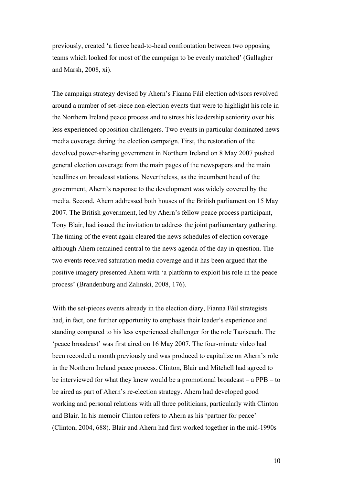previously, created 'a fierce head-to-head confrontation between two opposing teams which looked for most of the campaign to be evenly matched' (Gallagher and Marsh, 2008, xi).

The campaign strategy devised by Ahern's Fianna Fáil election advisors revolved around a number of set-piece non-election events that were to highlight his role in the Northern Ireland peace process and to stress his leadership seniority over his less experienced opposition challengers. Two events in particular dominated news media coverage during the election campaign. First, the restoration of the devolved power-sharing government in Northern Ireland on 8 May 2007 pushed general election coverage from the main pages of the newspapers and the main headlines on broadcast stations. Nevertheless, as the incumbent head of the government, Ahern's response to the development was widely covered by the media. Second, Ahern addressed both houses of the British parliament on 15 May 2007. The British government, led by Ahern's fellow peace process participant, Tony Blair, had issued the invitation to address the joint parliamentary gathering. The timing of the event again cleared the news schedules of election coverage although Ahern remained central to the news agenda of the day in question. The two events received saturation media coverage and it has been argued that the positive imagery presented Ahern with 'a platform to exploit his role in the peace process' (Brandenburg and Zalinski, 2008, 176).

With the set-pieces events already in the election diary, Fianna Fáil strategists had, in fact, one further opportunity to emphasis their leader's experience and standing compared to his less experienced challenger for the role Taoiseach. The 'peace broadcast' was first aired on 16 May 2007. The four-minute video had been recorded a month previously and was produced to capitalize on Ahern's role in the Northern Ireland peace process. Clinton, Blair and Mitchell had agreed to be interviewed for what they knew would be a promotional broadcast – a PPB – to be aired as part of Ahern's re-election strategy. Ahern had developed good working and personal relations with all three politicians, particularly with Clinton and Blair. In his memoir Clinton refers to Ahern as his 'partner for peace' (Clinton, 2004, 688). Blair and Ahern had first worked together in the mid-1990s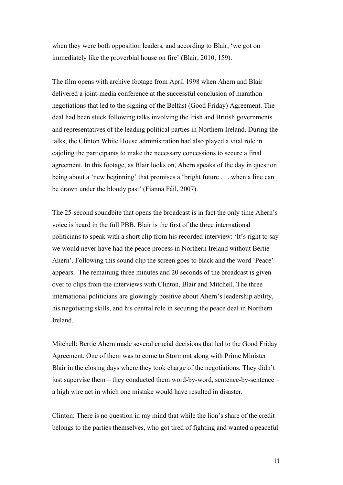when they were both opposition leaders, and according to Blair, 'we got on immediately like the proverbial house on fire' (Blair, 2010, 159).

The film opens with archive footage from April 1998 when Ahern and Blair delivered a joint-media conference at the successful conclusion of marathon negotiations that led to the signing of the Belfast (Good Friday) Agreement. The deal had been stuck following talks involving the Irish and British governments and representatives of the leading political parties in Northern Ireland. During the talks, the Clinton White House administration had also played a vital role in cajoling the participants to make the necessary concessions to secure a final agreement. In this footage, as Blair looks on, Ahern speaks of the day in question being about a 'new beginning' that promises a 'bright future . . . when a line can be drawn under the bloody past' (Fianna Fáil, 2007).

The 25-second soundbite that opens the broadcast is in fact the only time Ahern's voice is heard in the full PBB. Blair is the first of the three international politicians to speak with a short clip from his recorded interview: 'It's right to say we would never have had the peace process in Northern Ireland without Bertie Ahern'. Following this sound clip the screen goes to black and the word 'Peace' appears. The remaining three minutes and 20 seconds of the broadcast is given over to clips from the interviews with Clinton, Blair and Mitchell. The three international politicians are glowingly positive about Ahern's leadership ability, his negotiating skills, and his central role in securing the peace deal in Northern Ireland.

Mitchell: Bertie Ahern made several crucial decisions that led to the Good Friday Agreement. One of them was to come to Stormont along with Prime Minister Blair in the closing days where they took charge of the negotiations. They didn't just supervise them – they conducted them word-by-word, sentence-by-sentence – a high wire act in which one mistake would have resulted in disaster.

Clinton: There is no question in my mind that while the lion's share of the credit belongs to the parties themselves, who got tired of fighting and wanted a peaceful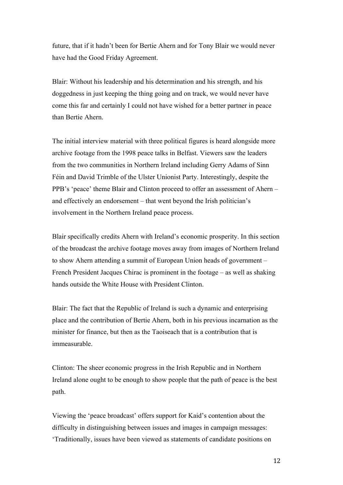future, that if it hadn't been for Bertie Ahern and for Tony Blair we would never have had the Good Friday Agreement.

Blair: Without his leadership and his determination and his strength, and his doggedness in just keeping the thing going and on track, we would never have come this far and certainly I could not have wished for a better partner in peace than Bertie Ahern.

The initial interview material with three political figures is heard alongside more archive footage from the 1998 peace talks in Belfast. Viewers saw the leaders from the two communities in Northern Ireland including Gerry Adams of Sinn Féin and David Trimble of the Ulster Unionist Party. Interestingly, despite the PPB's 'peace' theme Blair and Clinton proceed to offer an assessment of Ahern – and effectively an endorsement – that went beyond the Irish politician's involvement in the Northern Ireland peace process.

Blair specifically credits Ahern with Ireland's economic prosperity. In this section of the broadcast the archive footage moves away from images of Northern Ireland to show Ahern attending a summit of European Union heads of government – French President Jacques Chirac is prominent in the footage – as well as shaking hands outside the White House with President Clinton.

Blair: The fact that the Republic of Ireland is such a dynamic and enterprising place and the contribution of Bertie Ahern, both in his previous incarnation as the minister for finance, but then as the Taoiseach that is a contribution that is immeasurable.

Clinton: The sheer economic progress in the Irish Republic and in Northern Ireland alone ought to be enough to show people that the path of peace is the best path.

Viewing the 'peace broadcast' offers support for Kaid's contention about the difficulty in distinguishing between issues and images in campaign messages: 'Traditionally, issues have been viewed as statements of candidate positions on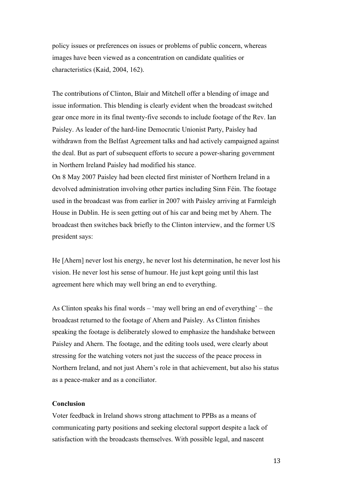policy issues or preferences on issues or problems of public concern, whereas images have been viewed as a concentration on candidate qualities or characteristics (Kaid, 2004, 162).

The contributions of Clinton, Blair and Mitchell offer a blending of image and issue information. This blending is clearly evident when the broadcast switched gear once more in its final twenty-five seconds to include footage of the Rev. Ian Paisley. As leader of the hard-line Democratic Unionist Party, Paisley had withdrawn from the Belfast Agreement talks and had actively campaigned against the deal. But as part of subsequent efforts to secure a power-sharing government in Northern Ireland Paisley had modified his stance.

On 8 May 2007 Paisley had been elected first minister of Northern Ireland in a devolved administration involving other parties including Sinn Féin. The footage used in the broadcast was from earlier in 2007 with Paisley arriving at Farmleigh House in Dublin. He is seen getting out of his car and being met by Ahern. The broadcast then switches back briefly to the Clinton interview, and the former US president says:

He [Ahern] never lost his energy, he never lost his determination, he never lost his vision. He never lost his sense of humour. He just kept going until this last agreement here which may well bring an end to everything.

As Clinton speaks his final words – 'may well bring an end of everything' – the broadcast returned to the footage of Ahern and Paisley. As Clinton finishes speaking the footage is deliberately slowed to emphasize the handshake between Paisley and Ahern. The footage, and the editing tools used, were clearly about stressing for the watching voters not just the success of the peace process in Northern Ireland, and not just Ahern's role in that achievement, but also his status as a peace-maker and as a conciliator.

# **Conclusion**

Voter feedback in Ireland shows strong attachment to PPBs as a means of communicating party positions and seeking electoral support despite a lack of satisfaction with the broadcasts themselves. With possible legal, and nascent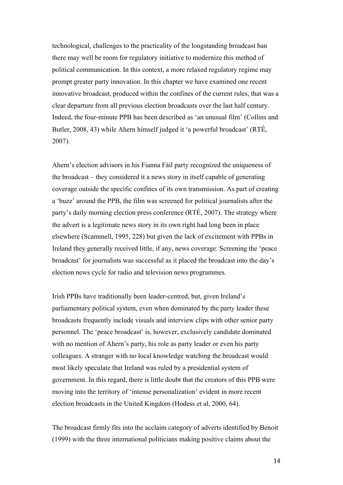technological, challenges to the practicality of the longstanding broadcast ban there may well be room for regulatory initiative to modernize this method of political communication. In this context, a more relaxed regulatory regime may prompt greater party innovation. In this chapter we have examined one recent innovative broadcast, produced within the confines of the current rules, that was a clear departure from all previous election broadcasts over the last half century. Indeed, the four-minute PPB has been described as 'an unusual film' (Collins and Butler, 2008, 43) while Ahern himself judged it 'a powerful broadcast' (RTÉ, 2007).

Ahern's election advisors in his Fianna Fáil party recognized the uniqueness of the broadcast – they considered it a news story in itself capable of generating coverage outside the specific confines of its own transmission. As part of creating a 'buzz' around the PPB, the film was screened for political journalists after the party's daily morning election press conference (RTÉ, 2007). The strategy where the advert is a legitimate news story in its own right had long been in place elsewhere (Scammell, 1995, 228) but given the lack of excitement with PPBs in Ireland they generally received little, if any, news coverage. Screening the 'peace broadcast' for journalists was successful as it placed the broadcast into the day's election news cycle for radio and television news programmes.

Irish PPBs have traditionally been leader-centred, but, given Ireland's parliamentary political system, even when dominated by the party leader these broadcasts frequently include visuals and interview clips with other senior party personnel. The 'peace broadcast' is, however, exclusively candidate dominated with no mention of Ahern's party, his role as party leader or even his party colleagues. A stranger with no local knowledge watching the broadcast would most likely speculate that Ireland was ruled by a presidential system of government. In this regard, there is little doubt that the creators of this PPB were moving into the territory of 'intense personalization' evident in more recent election broadcasts in the United Kingdom (Hodess et al, 2000, 64).

The broadcast firmly fits into the acclaim category of adverts identified by Benoit (1999) with the three international politicians making positive claims about the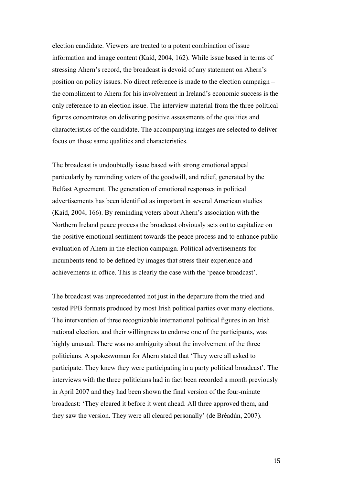election candidate. Viewers are treated to a potent combination of issue information and image content (Kaid, 2004, 162). While issue based in terms of stressing Ahern's record, the broadcast is devoid of any statement on Ahern's position on policy issues. No direct reference is made to the election campaign – the compliment to Ahern for his involvement in Ireland's economic success is the only reference to an election issue. The interview material from the three political figures concentrates on delivering positive assessments of the qualities and characteristics of the candidate. The accompanying images are selected to deliver focus on those same qualities and characteristics.

The broadcast is undoubtedly issue based with strong emotional appeal particularly by reminding voters of the goodwill, and relief, generated by the Belfast Agreement. The generation of emotional responses in political advertisements has been identified as important in several American studies (Kaid, 2004, 166). By reminding voters about Ahern's association with the Northern Ireland peace process the broadcast obviously sets out to capitalize on the positive emotional sentiment towards the peace process and to enhance public evaluation of Ahern in the election campaign. Political advertisements for incumbents tend to be defined by images that stress their experience and achievements in office. This is clearly the case with the 'peace broadcast'.

The broadcast was unprecedented not just in the departure from the tried and tested PPB formats produced by most Irish political parties over many elections. The intervention of three recognizable international political figures in an Irish national election, and their willingness to endorse one of the participants, was highly unusual. There was no ambiguity about the involvement of the three politicians. A spokeswoman for Ahern stated that 'They were all asked to participate. They knew they were participating in a party political broadcast'. The interviews with the three politicians had in fact been recorded a month previously in April 2007 and they had been shown the final version of the four-minute broadcast: 'They cleared it before it went ahead. All three approved them, and they saw the version. They were all cleared personally' (de Bréadún, 2007).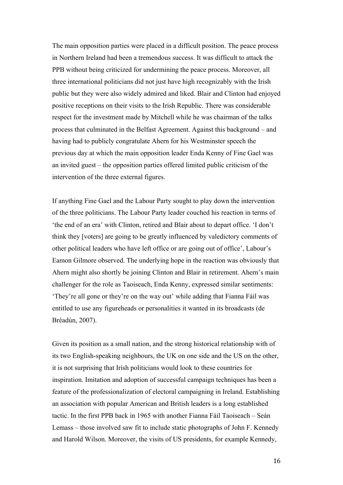The main opposition parties were placed in a difficult position. The peace process in Northern Ireland had been a tremendous success. It was difficult to attack the PPB without being criticized for undermining the peace process. Moreover, all three international politicians did not just have high recognizably with the Irish public but they were also widely admired and liked. Blair and Clinton had enjoyed positive receptions on their visits to the Irish Republic. There was considerable respect for the investment made by Mitchell while he was chairman of the talks process that culminated in the Belfast Agreement. Against this background – and having had to publicly congratulate Ahern for his Westminster speech the previous day at which the main opposition leader Enda Kenny of Fine Gael was an invited guest – the opposition parties offered limited public criticism of the intervention of the three external figures.

If anything Fine Gael and the Labour Party sought to play down the intervention of the three politicians. The Labour Party leader couched his reaction in terms of 'the end of an era' with Clinton, retired and Blair about to depart office. 'I don't think they [voters] are going to be greatly influenced by valedictory comments of other political leaders who have left office or are going out of office', Labour's Eamon Gilmore observed. The underlying hope in the reaction was obviously that Ahern might also shortly be joining Clinton and Blair in retirement. Ahern's main challenger for the role as Taoiseach, Enda Kenny, expressed similar sentiments: 'They're all gone or they're on the way out' while adding that Fianna Fáil was entitled to use any figureheads or personalities it wanted in its broadcasts (de Bréadún, 2007).

Given its position as a small nation, and the strong historical relationship with of its two English-speaking neighbours, the UK on one side and the US on the other, it is not surprising that Irish politicians would look to these countries for inspiration. Imitation and adoption of successful campaign techniques has been a feature of the professionalization of electoral campaigning in Ireland. Establishing an association with popular American and British leaders is a long established tactic. In the first PPB back in 1965 with another Fianna Fáil Taoiseach – Seán Lemass – those involved saw fit to include static photographs of John F. Kennedy and Harold Wilson. Moreover, the visits of US presidents, for example Kennedy,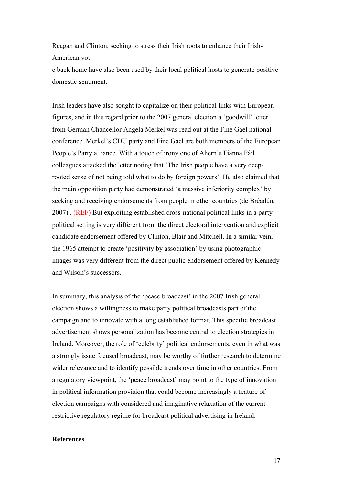Reagan and Clinton, seeking to stress their Irish roots to enhance their Irish-American vot

e back home have also been used by their local political hosts to generate positive domestic sentiment.

Irish leaders have also sought to capitalize on their political links with European figures, and in this regard prior to the 2007 general election a 'goodwill' letter from German Chancellor Angela Merkel was read out at the Fine Gael national conference. Merkel's CDU party and Fine Gael are both members of the European People's Party alliance. With a touch of irony one of Ahern's Fianna Fáil colleagues attacked the letter noting that 'The Irish people have a very deeprooted sense of not being told what to do by foreign powers'. He also claimed that the main opposition party had demonstrated 'a massive inferiority complex' by seeking and receiving endorsements from people in other countries (de Bréadún, 2007) . (REF) But exploiting established cross-national political links in a party political setting is very different from the direct electoral intervention and explicit candidate endorsement offered by Clinton, Blair and Mitchell. In a similar vein, the 1965 attempt to create 'positivity by association' by using photographic images was very different from the direct public endorsement offered by Kennedy and Wilson's successors.

In summary, this analysis of the 'peace broadcast' in the 2007 Irish general election shows a willingness to make party political broadcasts part of the campaign and to innovate with a long established format. This specific broadcast advertisement shows personalization has become central to election strategies in Ireland. Moreover, the role of 'celebrity' political endorsements, even in what was a strongly issue focused broadcast, may be worthy of further research to determine wider relevance and to identify possible trends over time in other countries. From a regulatory viewpoint, the 'peace broadcast' may point to the type of innovation in political information provision that could become increasingly a feature of election campaigns with considered and imaginative relaxation of the current restrictive regulatory regime for broadcast political advertising in Ireland.

## **References**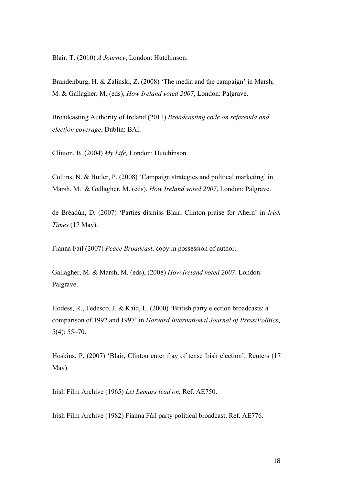Blair, T. (2010) *A Journey*, London: Hutchinson.

Brandenburg, H. & Zalinski, Z. (2008) 'The media and the campaign' in Marsh, M. & Gallagher, M. (eds), *How Ireland voted 2007*, London: Palgrave.

Broadcasting Authority of Ireland (2011) *Broadcasting code on referenda and election coverage*, Dublin: BAI.

Clinton, B. (2004) *My Life,* London: Hutchinson.

Collins, N. & Butler, P. (2008) 'Campaign strategies and political marketing' in Marsh, M. & Gallagher, M. (eds), *How Ireland voted 2007*, London: Palgrave.

de Bréadún, D. (2007) 'Parties dismiss Blair, Clinton praise for Ahern' in *Irish Times* (17 May).

Fianna Fáil (2007) *Peace Broadcast*, copy in possession of author.

Gallagher, M. & Marsh, M. (eds), (2008) *How Ireland voted 2007*. London: Palgrave.

Hodess, R., Tedesco, J. & Kaid, L. (2000) 'British party election broadcasts: a comparison of 1992 and 1997' in *Harvard International Journal of Press/Politics*, 5(4): 55–70.

Hoskins, P. (2007) 'Blair, Clinton enter fray of tense Irish election', Reuters (17 May).

Irish Film Archive (1965) *Let Lemass lead on*, Ref. AE750.

Irish Film Archive (1982) Fianna Fáil party political broadcast, Ref. AE776.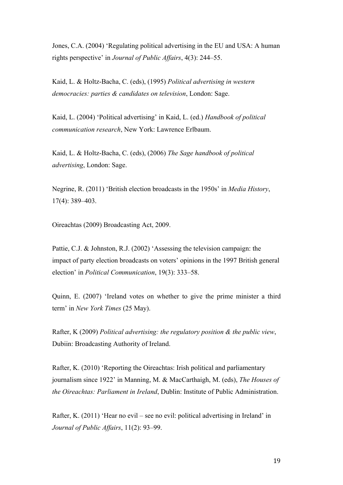Jones, C.A. (2004) 'Regulating political advertising in the EU and USA: A human rights perspective' in *Journal of Public Affairs*, 4(3): 244–55.

Kaid, L. & Holtz-Bacha, C. (eds), (1995) *Political advertising in western democracies: parties & candidates on television*, London: Sage.

Kaid, L. (2004) 'Political advertising' in Kaid, L. (ed.) *Handbook of political communication research*, New York: Lawrence Erlbaum.

Kaid, L. & Holtz-Bacha, C. (eds), (2006) *The Sage handbook of political advertising*, London: Sage.

Negrine, R. (2011) 'British election broadcasts in the 1950s' in *Media History*, 17(4): 389–403.

Oireachtas (2009) Broadcasting Act, 2009.

Pattie, C.J. & Johnston, R.J. (2002) 'Assessing the television campaign: the impact of party election broadcasts on voters' opinions in the 1997 British general election' in *Political Communication*, 19(3): 333–58.

Quinn, E. (2007) 'Ireland votes on whether to give the prime minister a third term' in *New York Times* (25 May).

Rafter, K (2009) *Political advertising: the regulatory position & the public view*, Dubiin: Broadcasting Authority of Ireland.

Rafter, K. (2010) 'Reporting the Oireachtas: Irish political and parliamentary journalism since 1922' in Manning, M. & MacCarthaigh, M. (eds), *The Houses of the Oireachtas: Parliament in Ireland*, Dublin: Institute of Public Administration.

Rafter, K. (2011) 'Hear no evil – see no evil: political advertising in Ireland' in *Journal of Public Affairs*, 11(2): 93–99.